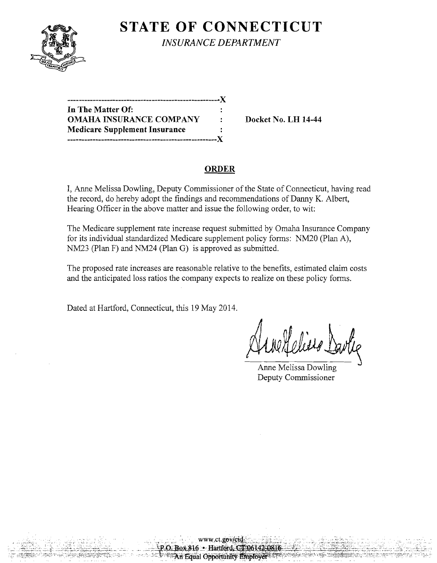

**STATE OF CONNECTICUT** *INSURANCE DEPARTMENT* 

| In The Matter Of:                    |   |
|--------------------------------------|---|
| <b>OMAHA INSURANCE COMPANY</b>       | ٠ |
| <b>Medicare Supplement Insurance</b> |   |
|                                      |   |

**Docket No. LH 14-44** 

## **ORDER**

I, Anne Melissa Dowling, Deputy Commissioner of the State of Connecticut, having read the record, do hereby adopt the findings and recommendations of Danny K. Albert, Hearing Officer in the above matter and issue the following order, to wit:

The Medicare supplement rate increase request submitted by Omaha Insurance Company for its individual standardized Medicare supplement policy forms: NM20 (Plan A), NM23 (Plan F) and NM24 (Plan G) is approved as submitted.

The proposed rate increases are reasonable relative to the benefits, estimated claim costs and the anticipated loss ratios the company expects to realize on these policy forms.

> www.ct.gov/cid O.Box 816 · Hartford, CT 06142 An Equal Opportunity Employer

Dated at Hartford, Connecticut, this 19 May 2014.

{ obeise

Anne Melissa Dowling Deputy Commissioner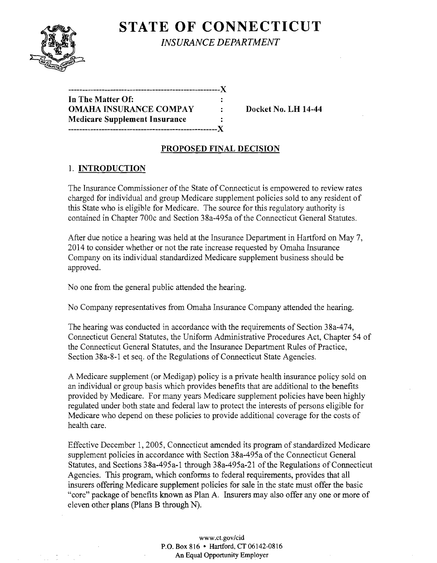

# **STATE OF CONNECTICUT** *INSURANCE DEPARTMENT*

| $\ddot{\cdot}$ |
|----------------|
|                |
|                |
|                |

 $\blacksquare$  Docket No. LH 14-44

# PROPOSED FINAL DECISION

# 1. INTRODUCTION

The Insurance Commissioner of the State of Connecticut is empowered to review rates charged for individual and group Medicare supplement policies sold to any resident of this State who is eligible for Medicare. The source for this regulatory authority is contained in Chapter 700c and Section 38a-495a of the Connecticut General Statutes.

After due notice a hearing was held at the Insurance Department in Hartford on May 7, 2014 to consider whether or not the rate increase requested by Omaha Insurance Company on its individual standardized Medicare supplement business should be approved.

No one from the general public attended the hearing.

No Company representatives from Omaha Insurance Company attended the hearing.

The hearing was conducted in accordance with the requirements of Section 38a-474, Connecticut General Statutes, the Uniform Administrative Procedures Act, Chapter 54 of the Connecticut General Statutes, and the Insurance Department Rules of Practice, Section 38a-8-1 et seq. of the Regulations of Connecticut State Agencies.

A Medicare supplement (or Medigap) policy is a private health insurance policy sold on an individual or group basis which provides benefits that are additional to the benefits provided by Medicare. For many years Medicare supplement policies have been highly regulated under both state and federal law to protect the interests of persons eligible for Medicare who depend on these policies to provide additional coverage for the costs of health care.

Effective December 1,2005, Connecticut amended its program of standardized Medicare supplement policies in accordance with Section 38a-495a of the Connecticut General Statutes, and Sections 38a-495a-1 through 38a-495a-21 of the Regulations of Connecticut Agencies. This program, which conforms to federal requirements, provides that all insurers offering Medicare supplement policies for sale in the state must offer the basic "core" package of benefits known as Plan A. Insurers may also offer anyone or more of eleven other plans (plans B through N).

> www.ct.gov/cid P.O. Box 816 • Hartford, CT 06142-0816 An Equal Opportunity Employer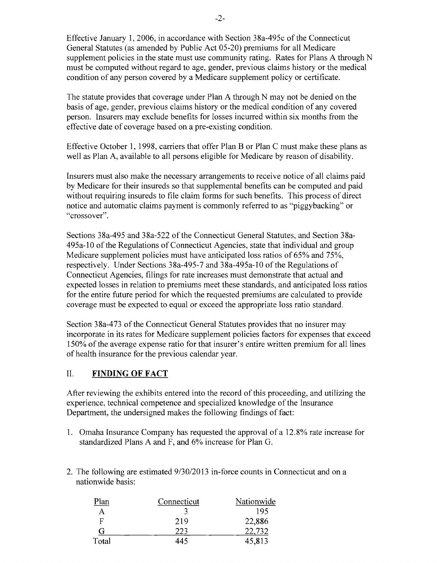Effective January 1,2006, in accordance with Section 38a-495c of the Connecticut General Statutes (as amended by Public Act 05-20) premiums for all Medicare supplement policies in the state must use community rating. Rates for Plans A through N must be computed without regard to age, gender, previous claims history or the medical condition of any person covered by a Medicare supplement policy or certificate.

The statute provides that coverage under Plan A through N may not be denied on the basis of age, gender, previous claims history or the medical condition of any covered person. Insurers may exclude benefits for losses incurred within six months from the effective date of coverage based on a pre-existing condition.

Effective October 1, 1998, carriers that offer Plan B or Plan C must make these plans as well as Plan A, available to all persons eligible for Medicare by reason of disability.

Insurers must also make the necessary arrangements to receive notice of all claims paid by Medicare for their insureds so that supplemental benefits can be computed and paid without requiring insureds to file claim forms for such benefits. This process of direct notice and automatic claims payment is commonly referred to as "piggybacking" or "crossover".

Sections 38a-495 and 38a-522 of the Connecticut General Statutes, and Section 38a-495a-10 of the Regulations of Connecticut Agencies, state that individual and group Medicare supplement policies must have anticipated loss ratios of 65% and 75%, respectively. Under Sections 38a-495-7 and 38a-495a-10 of the Regulations of Connecticut Agencies, filings for rate increases must demonstrate that actual and expected losses in relation to premiums meet these standards, and anticipated loss ratios for the entire future period for which the requested premiums are calculated to provide coverage must be expected to equal or exceed the appropriate loss ratio standard.

Section 38a-473 of the Connecticut General Statutes provides that no insurer may incorporate in its rates for Medicare supplement policies factors for expenses that exceed 150% of the average expense ratio for that insurer's entire written premium for all lines of health insurance for the previous calendar year.

## II. **FINDING OF FACT**

After reviewing the exhibits entered into the record of this proceeding, and utilizing the experience, technical competence and specialized knowledge of the Insurance Department, the undersigned makes the following findings of fact:

- 1. Omaha Insurance Company has requested the approval of a 12.8% rate increase for standardized Plans A and F, and 6% increase for Plan G.
- 2. The following are estimated 9/30/2013 in-force counts in Connecticut and on a nationwide basis:

| Plan  | Connecticut | Nationwide |
|-------|-------------|------------|
| A     |             | 195        |
| F     | 219         | 22,886     |
| G     | 223         | 22,732     |
| Total | 445         | 45,813     |